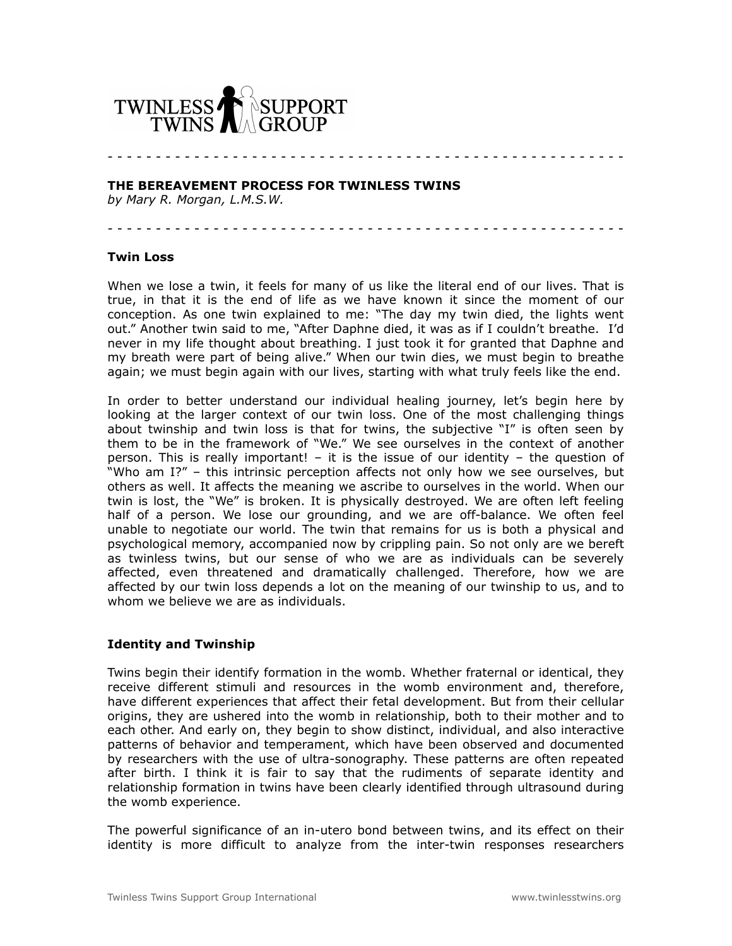

**THE BEREAVEMENT PROCESS FOR TWINLESS TWINS**

*by Mary R. Morgan, L.M.S.W.*

- - - - - - - - - - - - - - - - - - - - - - - - - - - - - - - - - - - - - - - - - - - - - - - - - - - - - -

- - - - - - - - - - - - - - - - - - - - - - - - - - - - - - - - - - - - - - - - - - - - - - - - - - - - - -

#### **Twin Loss**

When we lose a twin, it feels for many of us like the literal end of our lives. That is true, in that it is the end of life as we have known it since the moment of our conception. As one twin explained to me: "The day my twin died, the lights went out." Another twin said to me, "After Daphne died, it was as if I couldn't breathe. I'd never in my life thought about breathing. I just took it for granted that Daphne and my breath were part of being alive." When our twin dies, we must begin to breathe again; we must begin again with our lives, starting with what truly feels like the end.

In order to better understand our individual healing journey, let's begin here by looking at the larger context of our twin loss. One of the most challenging things about twinship and twin loss is that for twins, the subjective "I" is often seen by them to be in the framework of "We." We see ourselves in the context of another person. This is really important! – it is the issue of our identity – the question of "Who am I?" – this intrinsic perception affects not only how we see ourselves, but others as well. It affects the meaning we ascribe to ourselves in the world. When our twin is lost, the "We" is broken. It is physically destroyed. We are often left feeling half of a person. We lose our grounding, and we are off-balance. We often feel unable to negotiate our world. The twin that remains for us is both a physical and psychological memory, accompanied now by crippling pain. So not only are we bereft as twinless twins, but our sense of who we are as individuals can be severely affected, even threatened and dramatically challenged. Therefore, how we are affected by our twin loss depends a lot on the meaning of our twinship to us, and to whom we believe we are as individuals.

#### **Identity and Twinship**

Twins begin their identify formation in the womb. Whether fraternal or identical, they receive different stimuli and resources in the womb environment and, therefore, have different experiences that affect their fetal development. But from their cellular origins, they are ushered into the womb in relationship, both to their mother and to each other. And early on, they begin to show distinct, individual, and also interactive patterns of behavior and temperament, which have been observed and documented by researchers with the use of ultra-sonography. These patterns are often repeated after birth. I think it is fair to say that the rudiments of separate identity and relationship formation in twins have been clearly identified through ultrasound during the womb experience.

The powerful significance of an in-utero bond between twins, and its effect on their identity is more difficult to analyze from the inter-twin responses researchers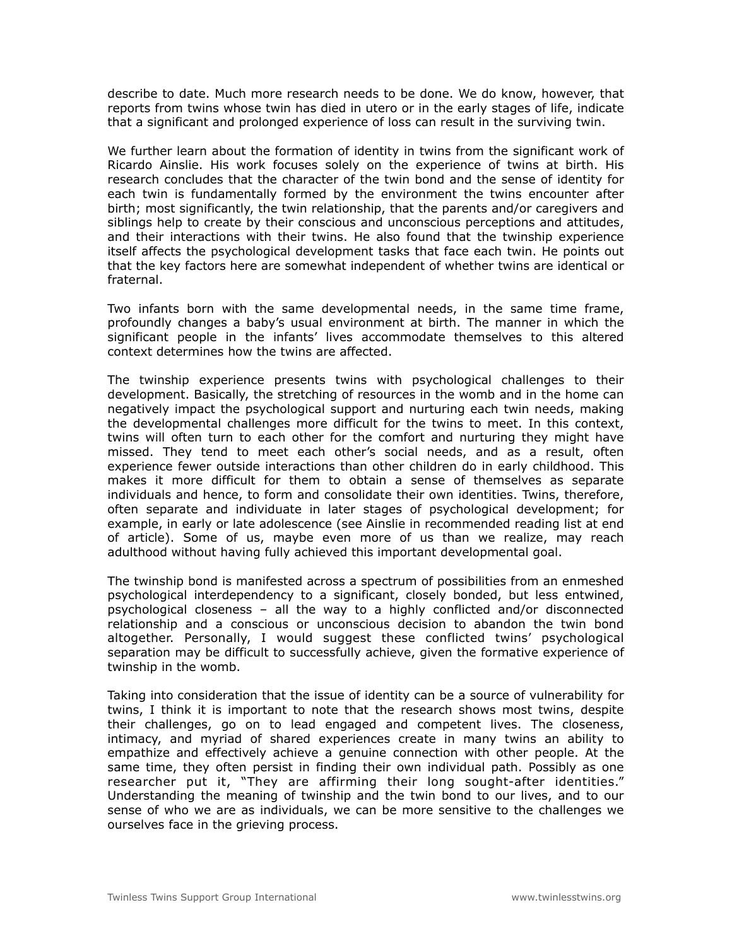describe to date. Much more research needs to be done. We do know, however, that reports from twins whose twin has died in utero or in the early stages of life, indicate that a significant and prolonged experience of loss can result in the surviving twin.

We further learn about the formation of identity in twins from the significant work of Ricardo Ainslie. His work focuses solely on the experience of twins at birth. His research concludes that the character of the twin bond and the sense of identity for each twin is fundamentally formed by the environment the twins encounter after birth; most significantly, the twin relationship, that the parents and/or caregivers and siblings help to create by their conscious and unconscious perceptions and attitudes, and their interactions with their twins. He also found that the twinship experience itself affects the psychological development tasks that face each twin. He points out that the key factors here are somewhat independent of whether twins are identical or fraternal.

Two infants born with the same developmental needs, in the same time frame, profoundly changes a baby's usual environment at birth. The manner in which the significant people in the infants' lives accommodate themselves to this altered context determines how the twins are affected.

The twinship experience presents twins with psychological challenges to their development. Basically, the stretching of resources in the womb and in the home can negatively impact the psychological support and nurturing each twin needs, making the developmental challenges more difficult for the twins to meet. In this context, twins will often turn to each other for the comfort and nurturing they might have missed. They tend to meet each other's social needs, and as a result, often experience fewer outside interactions than other children do in early childhood. This makes it more difficult for them to obtain a sense of themselves as separate individuals and hence, to form and consolidate their own identities. Twins, therefore, often separate and individuate in later stages of psychological development; for example, in early or late adolescence (see Ainslie in recommended reading list at end of article). Some of us, maybe even more of us than we realize, may reach adulthood without having fully achieved this important developmental goal.

The twinship bond is manifested across a spectrum of possibilities from an enmeshed psychological interdependency to a significant, closely bonded, but less entwined, psychological closeness – all the way to a highly conflicted and/or disconnected relationship and a conscious or unconscious decision to abandon the twin bond altogether. Personally, I would suggest these conflicted twins' psychological separation may be difficult to successfully achieve, given the formative experience of twinship in the womb.

Taking into consideration that the issue of identity can be a source of vulnerability for twins, I think it is important to note that the research shows most twins, despite their challenges, go on to lead engaged and competent lives. The closeness, intimacy, and myriad of shared experiences create in many twins an ability to empathize and effectively achieve a genuine connection with other people. At the same time, they often persist in finding their own individual path. Possibly as one researcher put it, "They are affirming their long sought-after identities." Understanding the meaning of twinship and the twin bond to our lives, and to our sense of who we are as individuals, we can be more sensitive to the challenges we ourselves face in the grieving process.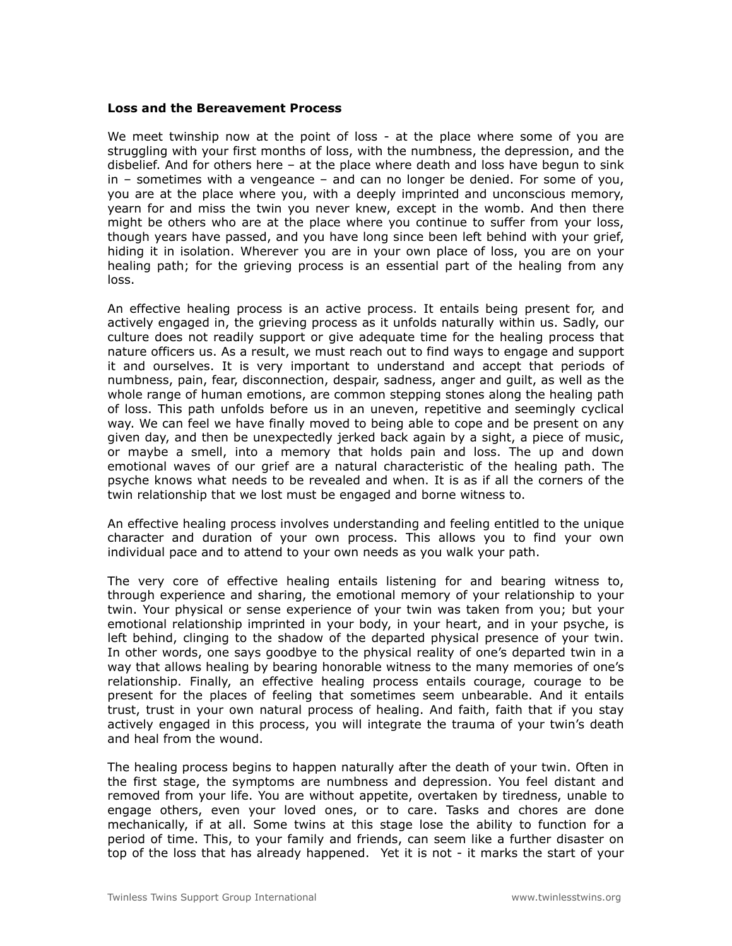#### **Loss and the Bereavement Process**

We meet twinship now at the point of loss - at the place where some of you are struggling with your first months of loss, with the numbness, the depression, and the disbelief. And for others here – at the place where death and loss have begun to sink  $in -$  sometimes with a vengeance  $-$  and can no longer be denied. For some of you, you are at the place where you, with a deeply imprinted and unconscious memory, yearn for and miss the twin you never knew, except in the womb. And then there might be others who are at the place where you continue to suffer from your loss, though years have passed, and you have long since been left behind with your grief, hiding it in isolation. Wherever you are in your own place of loss, you are on your healing path; for the grieving process is an essential part of the healing from any loss.

An effective healing process is an active process. It entails being present for, and actively engaged in, the grieving process as it unfolds naturally within us. Sadly, our culture does not readily support or give adequate time for the healing process that nature officers us. As a result, we must reach out to find ways to engage and support it and ourselves. It is very important to understand and accept that periods of numbness, pain, fear, disconnection, despair, sadness, anger and guilt, as well as the whole range of human emotions, are common stepping stones along the healing path of loss. This path unfolds before us in an uneven, repetitive and seemingly cyclical way. We can feel we have finally moved to being able to cope and be present on any given day, and then be unexpectedly jerked back again by a sight, a piece of music, or maybe a smell, into a memory that holds pain and loss. The up and down emotional waves of our grief are a natural characteristic of the healing path. The psyche knows what needs to be revealed and when. It is as if all the corners of the twin relationship that we lost must be engaged and borne witness to.

An effective healing process involves understanding and feeling entitled to the unique character and duration of your own process. This allows you to find your own individual pace and to attend to your own needs as you walk your path.

The very core of effective healing entails listening for and bearing witness to, through experience and sharing, the emotional memory of your relationship to your twin. Your physical or sense experience of your twin was taken from you; but your emotional relationship imprinted in your body, in your heart, and in your psyche, is left behind, clinging to the shadow of the departed physical presence of your twin. In other words, one says goodbye to the physical reality of one's departed twin in a way that allows healing by bearing honorable witness to the many memories of one's relationship. Finally, an effective healing process entails courage, courage to be present for the places of feeling that sometimes seem unbearable. And it entails trust, trust in your own natural process of healing. And faith, faith that if you stay actively engaged in this process, you will integrate the trauma of your twin's death and heal from the wound.

The healing process begins to happen naturally after the death of your twin. Often in the first stage, the symptoms are numbness and depression. You feel distant and removed from your life. You are without appetite, overtaken by tiredness, unable to engage others, even your loved ones, or to care. Tasks and chores are done mechanically, if at all. Some twins at this stage lose the ability to function for a period of time. This, to your family and friends, can seem like a further disaster on top of the loss that has already happened. Yet it is not - it marks the start of your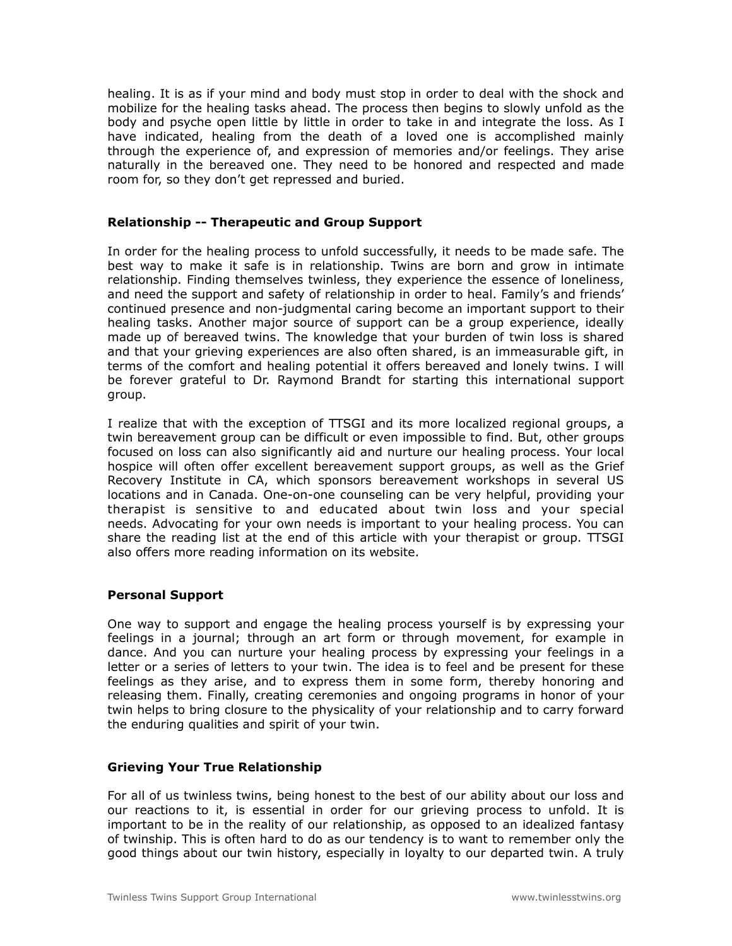healing. It is as if your mind and body must stop in order to deal with the shock and mobilize for the healing tasks ahead. The process then begins to slowly unfold as the body and psyche open little by little in order to take in and integrate the loss. As I have indicated, healing from the death of a loved one is accomplished mainly through the experience of, and expression of memories and/or feelings. They arise naturally in the bereaved one. They need to be honored and respected and made room for, so they don't get repressed and buried.

## **Relationship -- Therapeutic and Group Support**

In order for the healing process to unfold successfully, it needs to be made safe. The best way to make it safe is in relationship. Twins are born and grow in intimate relationship. Finding themselves twinless, they experience the essence of loneliness, and need the support and safety of relationship in order to heal. Family's and friends' continued presence and non-judgmental caring become an important support to their healing tasks. Another major source of support can be a group experience, ideally made up of bereaved twins. The knowledge that your burden of twin loss is shared and that your grieving experiences are also often shared, is an immeasurable gift, in terms of the comfort and healing potential it offers bereaved and lonely twins. I will be forever grateful to Dr. Raymond Brandt for starting this international support group.

I realize that with the exception of TTSGI and its more localized regional groups, a twin bereavement group can be difficult or even impossible to find. But, other groups focused on loss can also significantly aid and nurture our healing process. Your local hospice will often offer excellent bereavement support groups, as well as the Grief Recovery Institute in CA, which sponsors bereavement workshops in several US locations and in Canada. One-on-one counseling can be very helpful, providing your therapist is sensitive to and educated about twin loss and your special needs. Advocating for your own needs is important to your healing process. You can share the reading list at the end of this article with your therapist or group. TTSGI also offers more reading information on its website.

# **Personal Support**

One way to support and engage the healing process yourself is by expressing your feelings in a journal; through an art form or through movement, for example in dance. And you can nurture your healing process by expressing your feelings in a letter or a series of letters to your twin. The idea is to feel and be present for these feelings as they arise, and to express them in some form, thereby honoring and releasing them. Finally, creating ceremonies and ongoing programs in honor of your twin helps to bring closure to the physicality of your relationship and to carry forward the enduring qualities and spirit of your twin.

# **Grieving Your True Relationship**

For all of us twinless twins, being honest to the best of our ability about our loss and our reactions to it, is essential in order for our grieving process to unfold. It is important to be in the reality of our relationship, as opposed to an idealized fantasy of twinship. This is often hard to do as our tendency is to want to remember only the good things about our twin history, especially in loyalty to our departed twin. A truly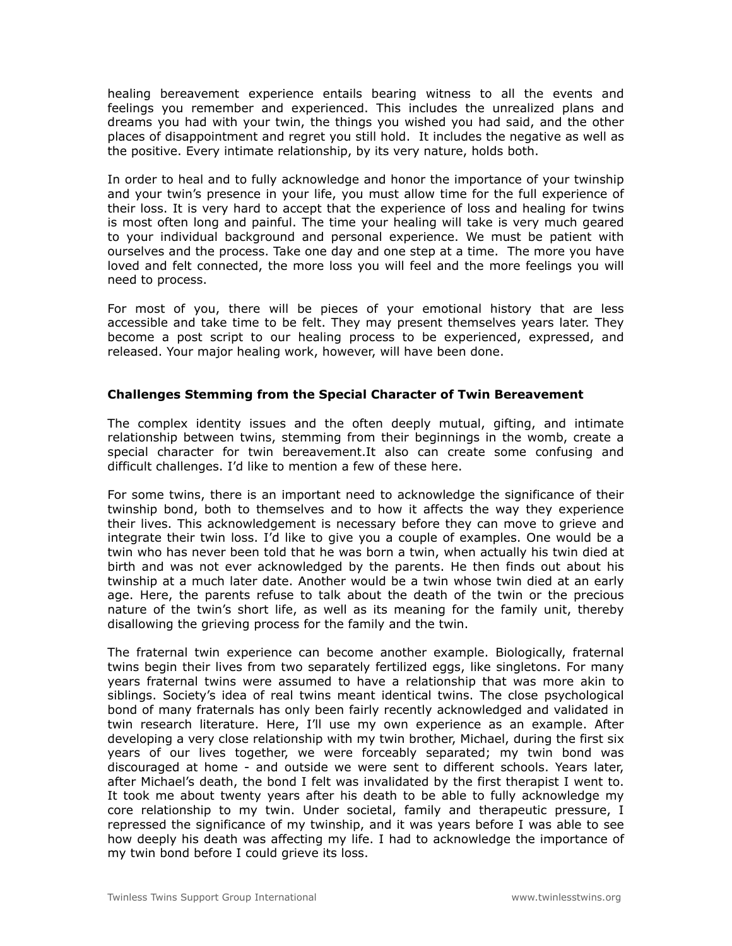healing bereavement experience entails bearing witness to all the events and feelings you remember and experienced. This includes the unrealized plans and dreams you had with your twin, the things you wished you had said, and the other places of disappointment and regret you still hold. It includes the negative as well as the positive. Every intimate relationship, by its very nature, holds both.

In order to heal and to fully acknowledge and honor the importance of your twinship and your twin's presence in your life, you must allow time for the full experience of their loss. It is very hard to accept that the experience of loss and healing for twins is most often long and painful. The time your healing will take is very much geared to your individual background and personal experience. We must be patient with ourselves and the process. Take one day and one step at a time. The more you have loved and felt connected, the more loss you will feel and the more feelings you will need to process.

For most of you, there will be pieces of your emotional history that are less accessible and take time to be felt. They may present themselves years later. They become a post script to our healing process to be experienced, expressed, and released. Your major healing work, however, will have been done.

## **Challenges Stemming from the Special Character of Twin Bereavement**

The complex identity issues and the often deeply mutual, gifting, and intimate relationship between twins, stemming from their beginnings in the womb, create a special character for twin bereavement.It also can create some confusing and difficult challenges. I'd like to mention a few of these here.

For some twins, there is an important need to acknowledge the significance of their twinship bond, both to themselves and to how it affects the way they experience their lives. This acknowledgement is necessary before they can move to grieve and integrate their twin loss. I'd like to give you a couple of examples. One would be a twin who has never been told that he was born a twin, when actually his twin died at birth and was not ever acknowledged by the parents. He then finds out about his twinship at a much later date. Another would be a twin whose twin died at an early age. Here, the parents refuse to talk about the death of the twin or the precious nature of the twin's short life, as well as its meaning for the family unit, thereby disallowing the grieving process for the family and the twin.

The fraternal twin experience can become another example. Biologically, fraternal twins begin their lives from two separately fertilized eggs, like singletons. For many years fraternal twins were assumed to have a relationship that was more akin to siblings. Society's idea of real twins meant identical twins. The close psychological bond of many fraternals has only been fairly recently acknowledged and validated in twin research literature. Here, I'll use my own experience as an example. After developing a very close relationship with my twin brother, Michael, during the first six years of our lives together, we were forceably separated; my twin bond was discouraged at home - and outside we were sent to different schools. Years later, after Michael's death, the bond I felt was invalidated by the first therapist I went to. It took me about twenty years after his death to be able to fully acknowledge my core relationship to my twin. Under societal, family and therapeutic pressure, I repressed the significance of my twinship, and it was years before I was able to see how deeply his death was affecting my life. I had to acknowledge the importance of my twin bond before I could grieve its loss.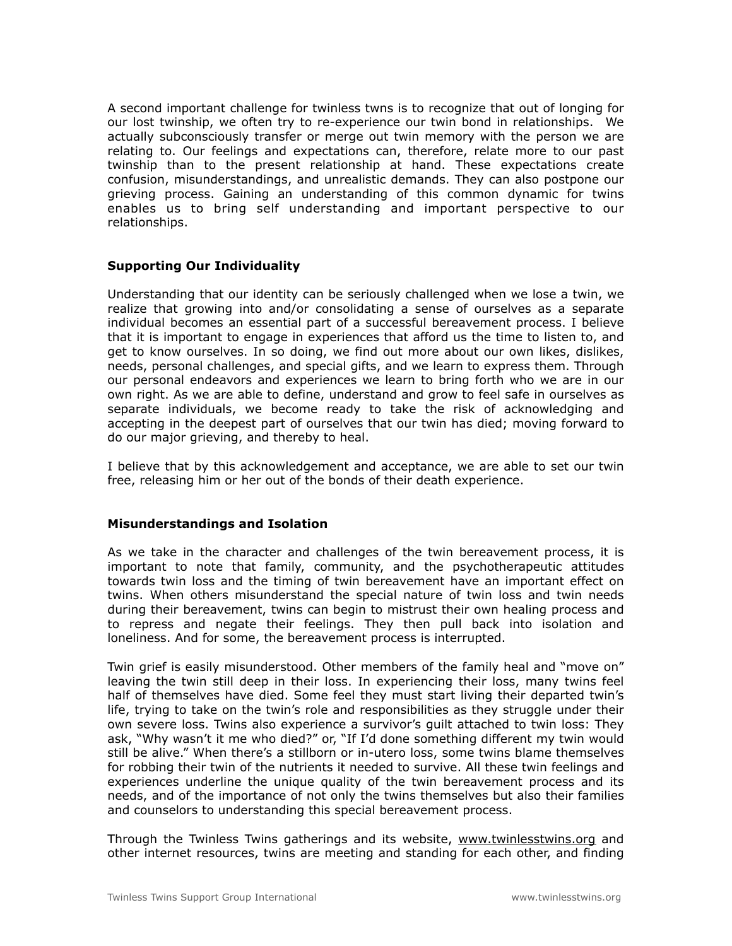A second important challenge for twinless twns is to recognize that out of longing for our lost twinship, we often try to re-experience our twin bond in relationships. We actually subconsciously transfer or merge out twin memory with the person we are relating to. Our feelings and expectations can, therefore, relate more to our past twinship than to the present relationship at hand. These expectations create confusion, misunderstandings, and unrealistic demands. They can also postpone our grieving process. Gaining an understanding of this common dynamic for twins enables us to bring self understanding and important perspective to our relationships.

## **Supporting Our Individuality**

Understanding that our identity can be seriously challenged when we lose a twin, we realize that growing into and/or consolidating a sense of ourselves as a separate individual becomes an essential part of a successful bereavement process. I believe that it is important to engage in experiences that afford us the time to listen to, and get to know ourselves. In so doing, we find out more about our own likes, dislikes, needs, personal challenges, and special gifts, and we learn to express them. Through our personal endeavors and experiences we learn to bring forth who we are in our own right. As we are able to define, understand and grow to feel safe in ourselves as separate individuals, we become ready to take the risk of acknowledging and accepting in the deepest part of ourselves that our twin has died; moving forward to do our major grieving, and thereby to heal.

I believe that by this acknowledgement and acceptance, we are able to set our twin free, releasing him or her out of the bonds of their death experience.

## **Misunderstandings and Isolation**

As we take in the character and challenges of the twin bereavement process, it is important to note that family, community, and the psychotherapeutic attitudes towards twin loss and the timing of twin bereavement have an important effect on twins. When others misunderstand the special nature of twin loss and twin needs during their bereavement, twins can begin to mistrust their own healing process and to repress and negate their feelings. They then pull back into isolation and loneliness. And for some, the bereavement process is interrupted.

Twin grief is easily misunderstood. Other members of the family heal and "move on" leaving the twin still deep in their loss. In experiencing their loss, many twins feel half of themselves have died. Some feel they must start living their departed twin's life, trying to take on the twin's role and responsibilities as they struggle under their own severe loss. Twins also experience a survivor's guilt attached to twin loss: They ask, "Why wasn't it me who died?" or, "If I'd done something different my twin would still be alive." When there's a stillborn or in-utero loss, some twins blame themselves for robbing their twin of the nutrients it needed to survive. All these twin feelings and experiences underline the unique quality of the twin bereavement process and its needs, and of the importance of not only the twins themselves but also their families and counselors to understanding this special bereavement process.

Through the Twinless Twins gatherings and its website, [www.twinlesstwins.org](http://www.twinlesstwins.org) and other internet resources, twins are meeting and standing for each other, and finding